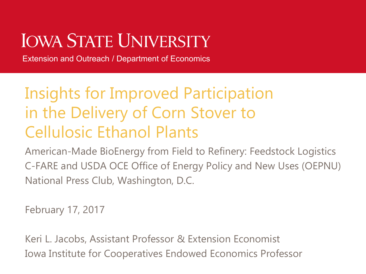# **IOWA STATE UNIVERSITY**

Extension and Outreach / Department of Economics

### Insights for Improved Participation in the Delivery of Corn Stover to Cellulosic Ethanol Plants

American-Made BioEnergy from Field to Refinery: Feedstock Logistics C-FARE and USDA OCE Office of Energy Policy and New Uses (OEPNU) National Press Club, Washington, D.C.

February 17, 2017

Keri L. Jacobs, Assistant Professor & Extension Economist Iowa Institute for Cooperatives Endowed Economics Professor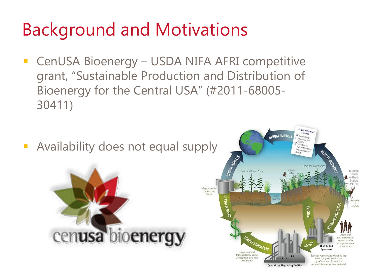# Background and Motivations

 CenUSA Bioenergy – USDA NIFA AFRI competitive grant, "Sustainable Production and Distribution of Bioenergy for the Central USA" (#2011-68005- 30411)

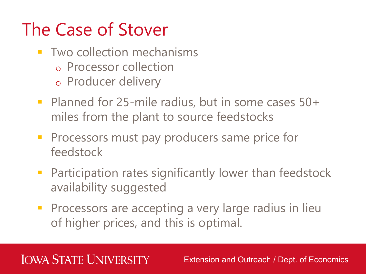# The Case of Stover

- **Two collection mechanisms** 
	- o Processor collection
	- o Producer delivery
- Planned for 25-mile radius, but in some cases 50+ miles from the plant to source feedstocks
- **Processors must pay producers same price for** feedstock
- **Participation rates significantly lower than feedstock** availability suggested
- **Processors are accepting a very large radius in lieu** of higher prices, and this is optimal.

#### **IOWA STATE UNIVERSITY**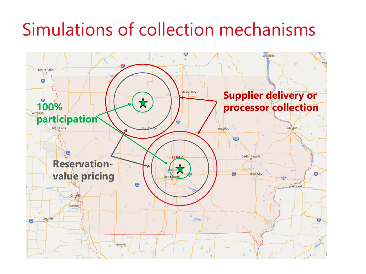## Simulations of collection mechanisms

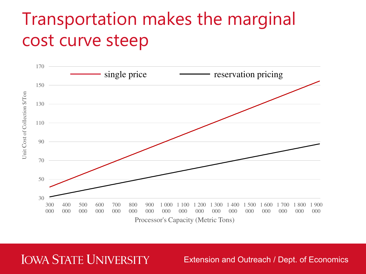## Transportation makes the marginal cost curve steep



**IOWA STATE UNIVERSITY**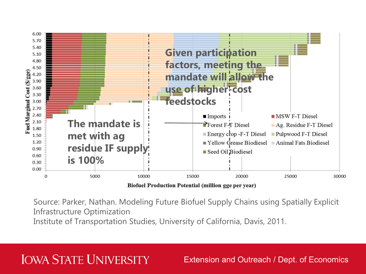

**Biofuel Production Potential (million gge per year)** 

Source: Parker, Nathan. Modeling Future Biofuel Supply Chains using Spatially Explicit Infrastructure Optimization

Institute of Transportation Studies, University of California, Davis, 2011.

#### **IOWA STATE UNIVERSITY**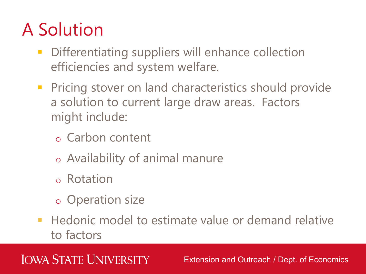# A Solution

- **Differentiating suppliers will enhance collection** efficiencies and system welfare.
- **Pricing stover on land characteristics should provide** a solution to current large draw areas. Factors might include:
	- o Carbon content
	- o Availability of animal manure
	- o Rotation
	- o Operation size
- **Hedonic model to estimate value or demand relative** to factors

### **IOWA STATE UNIVERSITY**